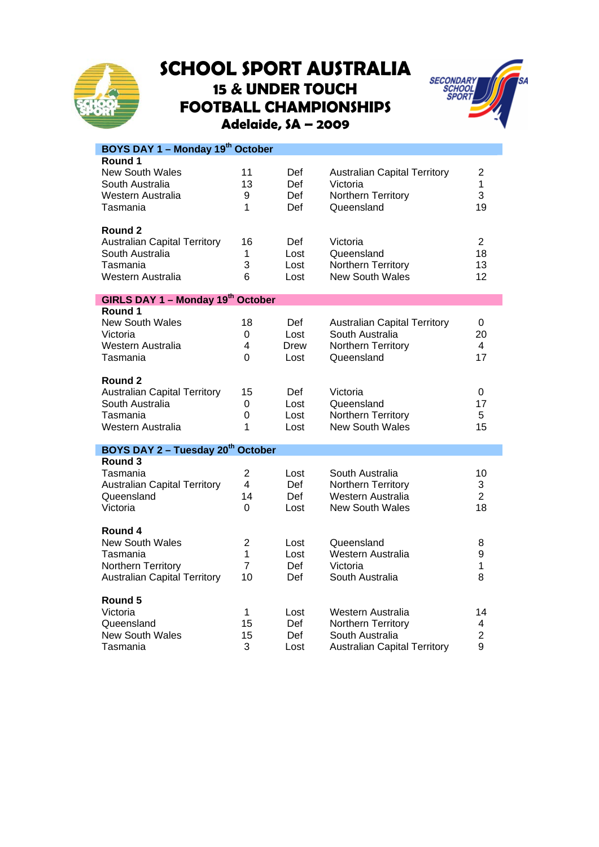

## **SCHOOL SPORT AUSTRALIA 15 & UNDER TOUCH FOOTBALL CHAMPIONSHIPS Adelaide, SA – 2009**



| BOYS DAY 1 - Monday 19th October                                                                           |                                                        |                             |                                                                                                   |                                  |  |  |
|------------------------------------------------------------------------------------------------------------|--------------------------------------------------------|-----------------------------|---------------------------------------------------------------------------------------------------|----------------------------------|--|--|
| Round 1<br><b>New South Wales</b><br>South Australia<br>Western Australia<br>Tasmania                      | 11<br>13<br>9<br>1                                     | Def<br>Def<br>Def<br>Def    | <b>Australian Capital Territory</b><br>Victoria<br>Northern Territory<br>Queensland               | $\overline{2}$<br>1<br>3<br>19   |  |  |
| Round 2<br><b>Australian Capital Territory</b><br>South Australia<br>Tasmania<br>Western Australia         | 16<br>1<br>3<br>6                                      | Def<br>Lost<br>Lost<br>Lost | Victoria<br>Queensland<br>Northern Territory<br><b>New South Wales</b>                            | $\overline{2}$<br>18<br>13<br>12 |  |  |
| GIRLS DAY 1 - Monday 19th October                                                                          |                                                        |                             |                                                                                                   |                                  |  |  |
| Round 1<br><b>New South Wales</b><br>Victoria<br>Western Australia<br>Tasmania                             | 18<br>0<br>$\overline{\mathbf{4}}$<br>$\Omega$         | Def<br>Lost<br>Drew<br>Lost | <b>Australian Capital Territory</b><br>South Australia<br>Northern Territory<br>Queensland        | 0<br>20<br>4<br>17               |  |  |
| Round 2<br><b>Australian Capital Territory</b><br>South Australia<br>Tasmania<br>Western Australia         | 15<br>$\boldsymbol{0}$<br>0<br>1                       | Def<br>Lost<br>Lost<br>Lost | Victoria<br>Queensland<br>Northern Territory<br><b>New South Wales</b>                            | 0<br>17<br>5<br>15               |  |  |
| BOYS DAY 2 - Tuesday 20 <sup>th</sup> October                                                              |                                                        |                             |                                                                                                   |                                  |  |  |
| Round 3<br>Tasmania<br><b>Australian Capital Territory</b><br>Queensland<br>Victoria                       | $\overline{2}$<br>4<br>14<br>0                         | Lost<br>Def.<br>Def<br>Lost | South Australia<br>Northern Territory<br>Western Australia<br><b>New South Wales</b>              | 10<br>3<br>$\overline{2}$<br>18  |  |  |
| Round 4<br><b>New South Wales</b><br>Tasmania<br>Northern Territory<br><b>Australian Capital Territory</b> | $\overline{2}$<br>$\mathbf{1}$<br>$\overline{7}$<br>10 | Lost<br>Lost<br>Def<br>Def  | Queensland<br>Western Australia<br>Victoria<br>South Australia                                    | 8<br>9<br>1<br>8                 |  |  |
| Round 5<br>Victoria<br>Queensland<br><b>New South Wales</b><br>Tasmania                                    | 1<br>15<br>15<br>3                                     | Lost<br>Def<br>Def<br>Lost  | Western Australia<br>Northern Territory<br>South Australia<br><b>Australian Capital Territory</b> | 14<br>4<br>$\overline{2}$<br>9   |  |  |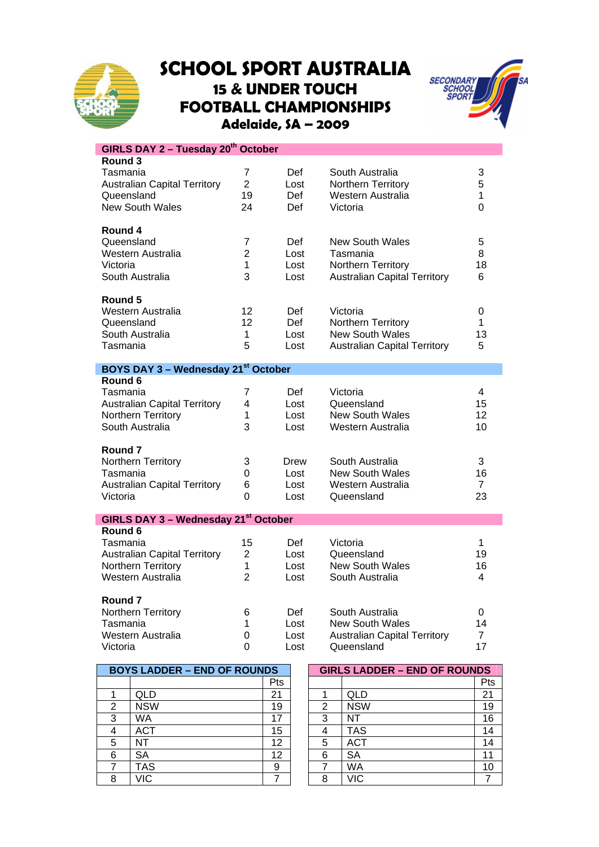

## **SCHOOL SPORT AUSTRALIA 15 & UNDER TOUCH FOOTBALL CHAMPIONSHIPS Adelaide, SA – 2009**



| GIRLS DAY 2 - Tuesday 20 <sup>th</sup> October   |                |      |                                     |                |  |  |  |
|--------------------------------------------------|----------------|------|-------------------------------------|----------------|--|--|--|
| Round 3                                          |                |      |                                     |                |  |  |  |
| Tasmania                                         | 7              | Def  | South Australia                     | 3              |  |  |  |
| <b>Australian Capital Territory</b>              | $\overline{2}$ | Lost | Northern Territory                  | 5              |  |  |  |
| Queensland                                       | 19             | Def  | Western Australia                   | 1              |  |  |  |
| <b>New South Wales</b>                           | 24             | Def  | Victoria                            | 0              |  |  |  |
| Round 4                                          |                |      |                                     |                |  |  |  |
| Queensland                                       | $\overline{7}$ | Def  | <b>New South Wales</b>              | 5              |  |  |  |
| Western Australia                                | $\overline{2}$ | Lost | Tasmania                            | 8              |  |  |  |
| Victoria                                         | 1              | Lost | Northern Territory                  | 18             |  |  |  |
| South Australia                                  | 3              | Lost | <b>Australian Capital Territory</b> | 6              |  |  |  |
| Round 5                                          |                |      |                                     |                |  |  |  |
| Western Australia                                | 12             | Def  | Victoria                            | 0              |  |  |  |
| Queensland                                       | 12             | Def  | Northern Territory                  | 1              |  |  |  |
| South Australia                                  | 1              | Lost | <b>New South Wales</b>              | 13             |  |  |  |
| Tasmania                                         | 5              | Lost | <b>Australian Capital Territory</b> | 5              |  |  |  |
| BOYS DAY 3 - Wednesday 21st October              |                |      |                                     |                |  |  |  |
| Round 6                                          |                |      |                                     |                |  |  |  |
| Tasmania                                         | 7              | Def  | Victoria                            | 4              |  |  |  |
| <b>Australian Capital Territory</b>              | 4              | Lost | Queensland                          | 15             |  |  |  |
| Northern Territory                               | 1              | Lost | <b>New South Wales</b>              | 12             |  |  |  |
| South Australia                                  | 3              | Lost | Western Australia                   | 10             |  |  |  |
| Round 7                                          |                |      |                                     |                |  |  |  |
| Northern Territory                               | 3              | Drew | South Australia                     | 3              |  |  |  |
| Tasmania                                         | $\Omega$       | Lost | <b>New South Wales</b>              | 16             |  |  |  |
| <b>Australian Capital Territory</b>              | 6              | Lost | Western Australia                   | $\overline{7}$ |  |  |  |
| Victoria                                         | 0              | Lost | Queensland                          | 23             |  |  |  |
| GIRLS DAY 3 - Wednesday 21 <sup>st</sup> October |                |      |                                     |                |  |  |  |
| Round 6                                          |                |      |                                     |                |  |  |  |
| Tasmania                                         | 15             | Def  | Victoria                            | 1              |  |  |  |
| <b>Australian Capital Territory</b>              | $\overline{2}$ | Lost | Queensland                          | 19             |  |  |  |
| Northern Territory                               | 1              | Lost | <b>New South Wales</b>              | 16             |  |  |  |
| Western Australia                                | $\mathcal{P}$  | Lost | South Australia                     | 4              |  |  |  |
| Round 7                                          |                |      |                                     |                |  |  |  |
| Northern Territory                               | 6              | Def  | South Australia                     | 0              |  |  |  |
| Tasmania                                         | $\mathbf 1$    | Lost | <b>New South Wales</b>              | 14             |  |  |  |
| Western Australia                                | $\mathbf 0$    | Lost | <b>Australian Capital Territory</b> | $\overline{7}$ |  |  |  |
| Victoria                                         | 0              | Lost | Queensland                          | 17             |  |  |  |

| <b>BOYS LADDER - END OF ROUNDS</b> |            |     | <b>GIRLS LADDER - END OF ROUNDS</b> |            |            |
|------------------------------------|------------|-----|-------------------------------------|------------|------------|
|                                    |            | Pts |                                     |            | <b>Pts</b> |
|                                    | QLD        | 21  |                                     | QLD        | 21         |
| 2                                  | <b>NSW</b> | 19  | 2                                   | <b>NSW</b> | 19         |
| 3                                  | WA         | 17  | 3                                   | NΤ         | 16         |
|                                    | ACT        | 15  |                                     | <b>TAS</b> | 14         |
| 5                                  | NT         | 12  | 5                                   | <b>ACT</b> | 14         |
| 6                                  | <b>SA</b>  | 12  | 6                                   | SA         | 11         |
|                                    | TAS        | 9   |                                     | WA         | 10         |
| 8                                  | √IC        |     | 8                                   | √IC        |            |

| <b>BOYS LADDER – END OF ROUNDS</b> |            |            | <b>GIRLS LADDER - END OF ROUNDS</b> |            |     |  |
|------------------------------------|------------|------------|-------------------------------------|------------|-----|--|
|                                    |            | <b>Pts</b> |                                     |            | Pts |  |
| 1                                  | QLD        | 21         |                                     | QLD        | 21  |  |
| 2                                  | <b>NSW</b> | 19         | 2                                   | <b>NSW</b> | 19  |  |
| 3                                  | WA         | 17         | 3                                   | NT         | 16  |  |
| 4                                  | ACT        | 15         | 4                                   | <b>TAS</b> | 14  |  |
| 5                                  | NΤ         | 12         | 5                                   | <b>ACT</b> | 14  |  |
| 6                                  | SA         | 12         | 6                                   | <b>SA</b>  | 11  |  |
| 7                                  | <b>TAS</b> | 9          |                                     | WA         | 10  |  |
| 8                                  | VIC        |            | 8                                   | VIC        |     |  |